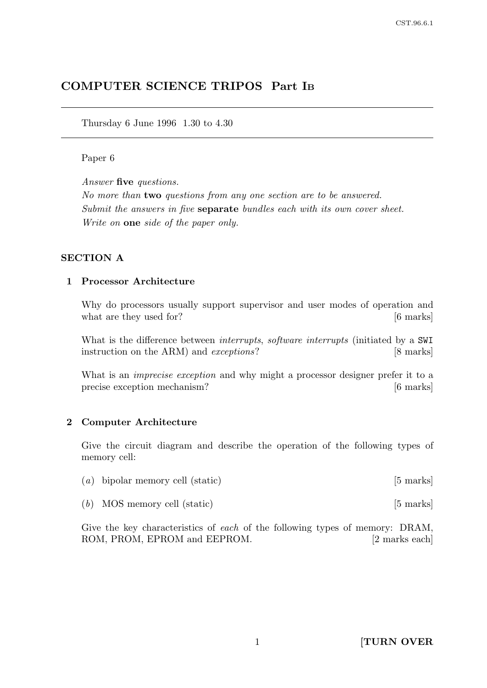# COMPUTER SCIENCE TRIPOS Part I<sup>B</sup>

Thursday 6 June 1996 1.30 to 4.30

### Paper 6

Answer five questions.

No more than two questions from any one section are to be answered. Submit the answers in five **separate** bundles each with its own cover sheet. Write on one side of the paper only.

### SECTION A

#### 1 Processor Architecture

Why do processors usually support supervisor and user modes of operation and what are they used for? [6 marks]

What is the difference between *interrupts*, *software interrupts* (initiated by a SWI instruction on the ARM) and *exceptions*? [8 marks]

What is an *imprecise exception* and why might a processor designer prefer it to a precise exception mechanism? [6 marks]

### 2 Computer Architecture

Give the circuit diagram and describe the operation of the following types of memory cell:

| $(a)$ bipolar memory cell (static) |  | $[5 \text{ marks}]$ |
|------------------------------------|--|---------------------|
|------------------------------------|--|---------------------|

(b) MOS memory cell (static) [5 marks]

Give the key characteristics of each of the following types of memory: DRAM, ROM, PROM, EPROM and EEPROM. [2 marks each]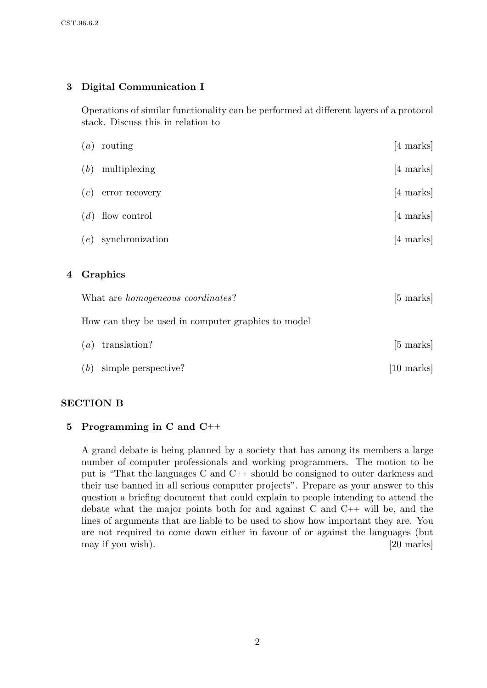### 3 Digital Communication I

Operations of similar functionality can be performed at different layers of a protocol stack. Discuss this in relation to

|   | routing<br>$\left( a\right)$                                    | [4 marks]           |  |
|---|-----------------------------------------------------------------|---------------------|--|
|   | multiplexing<br>(b)                                             | $[4 \text{ marks}]$ |  |
|   | error recovery<br>(c)                                           | $[4 \text{ marks}]$ |  |
|   | $(d)$ flow control                                              | $[4 \text{ marks}]$ |  |
|   | synchronization<br>(e)                                          | [4 marks]           |  |
| 4 | Graphics                                                        |                     |  |
|   | What are <i>homogeneous</i> coordinates?<br>$[5 \text{ marks}]$ |                     |  |
|   | How can they be used in computer graphics to model              |                     |  |
|   | translation?<br>$\left( a\right)$                               | $[5 \text{ marks}]$ |  |
|   | (b)<br>simple perspective?                                      | [10 marks]          |  |

### SECTION B

### 5 Programming in C and C++

A grand debate is being planned by a society that has among its members a large number of computer professionals and working programmers. The motion to be put is "That the languages C and C++ should be consigned to outer darkness and their use banned in all serious computer projects". Prepare as your answer to this question a briefing document that could explain to people intending to attend the debate what the major points both for and against C and C++ will be, and the lines of arguments that are liable to be used to show how important they are. You are not required to come down either in favour of or against the languages (but may if you wish). [20 marks]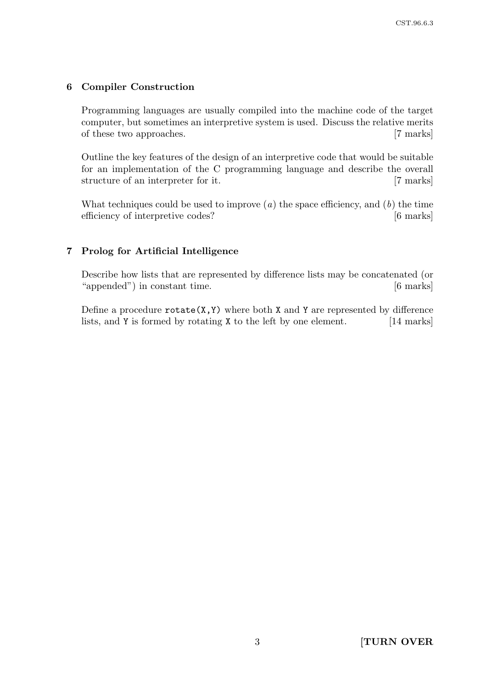# 6 Compiler Construction

Programming languages are usually compiled into the machine code of the target computer, but sometimes an interpretive system is used. Discuss the relative merits of these two approaches. [7 marks]

Outline the key features of the design of an interpretive code that would be suitable for an implementation of the C programming language and describe the overall structure of an interpreter for it. [7 marks]

What techniques could be used to improve  $(a)$  the space efficiency, and  $(b)$  the time efficiency of interpretive codes? [6 marks]

# 7 Prolog for Artificial Intelligence

Describe how lists that are represented by difference lists may be concatenated (or "appended") in constant time. [6 marks]

Define a procedure  $rotate(X, Y)$  where both X and Y are represented by difference lists, and Y is formed by rotating X to the left by one element. [14 marks]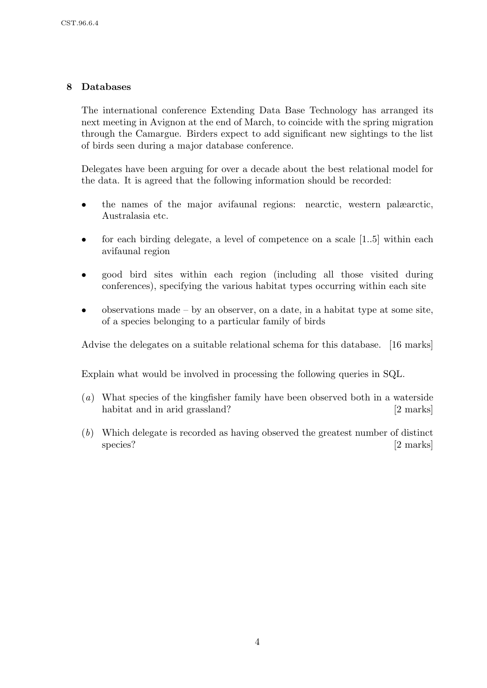# 8 Databases

The international conference Extending Data Base Technology has arranged its next meeting in Avignon at the end of March, to coincide with the spring migration through the Camargue. Birders expect to add significant new sightings to the list of birds seen during a major database conference.

Delegates have been arguing for over a decade about the best relational model for the data. It is agreed that the following information should be recorded:

- the names of the major avifaunal regions: nearctic, western palæarctic, Australasia etc.
- for each birding delegate, a level of competence on a scale [1..5] within each avifaunal region
- good bird sites within each region (including all those visited during conferences), specifying the various habitat types occurring within each site
- observations made by an observer, on a date, in a habitat type at some site, of a species belonging to a particular family of birds

Advise the delegates on a suitable relational schema for this database. [16 marks]

Explain what would be involved in processing the following queries in SQL.

- (a) What species of the kingfisher family have been observed both in a waterside habitat and in arid grassland? [2 marks]
- (b) Which delegate is recorded as having observed the greatest number of distinct species? [2 marks]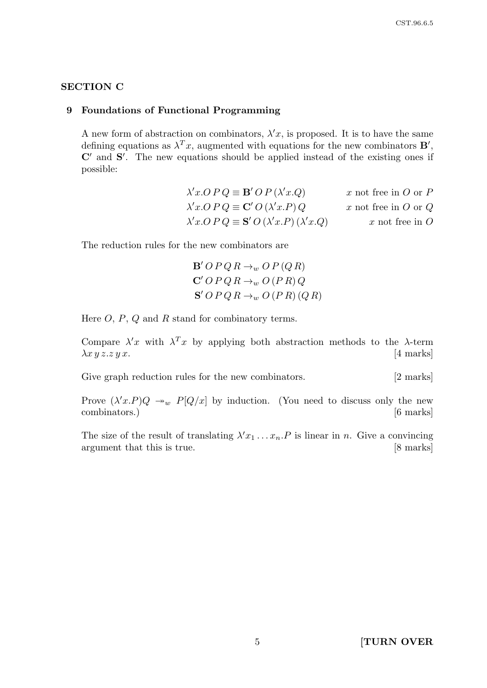### SECTION C

### 9 Foundations of Functional Programming

A new form of abstraction on combinators,  $\lambda' x$ , is proposed. It is to have the same defining equations as  $\lambda^T x$ , augmented with equations for the new combinators **B'**,  $\mathbb{C}'$  and  $\mathbb{S}'$ . The new equations should be applied instead of the existing ones if possible:

| $\lambda' x. O P Q \equiv \mathbf{B}' O P (\lambda' x. Q)$              | x not free in $O$ or $P$ |
|-------------------------------------------------------------------------|--------------------------|
| $\lambda' x. O P Q \equiv \mathbf{C}' O (\lambda' x. P) Q$              | x not free in $O$ or $Q$ |
| $\lambda' x. OP Q \equiv \mathbf{S}' O (\lambda' x. P) (\lambda' x. Q)$ | $x$ not free in $O$      |

The reduction rules for the new combinators are

$$
\mathbf{B}' \, O \, P \, Q \, R \rightarrow_w O \, P \, (Q \, R)
$$
  

$$
\mathbf{C}' \, O \, P \, Q \, R \rightarrow_w O \, (P \, R) \, Q
$$
  

$$
\mathbf{S}' \, O \, P \, Q \, R \rightarrow_w O \, (P \, R) \, (Q \, R)
$$

Here  $O, P, Q$  and  $R$  stand for combinatory terms.

Compare  $\lambda' x$  with  $\lambda^T x$  by applying both abstraction methods to the  $\lambda$ -term  $\lambda x \, y \, z \, z \, y \, x.$  [4 marks]

Give graph reduction rules for the new combinators. [2 marks]

Prove  $(\lambda' x.P)Q \rightarrow_w P[Q/x]$  by induction. (You need to discuss only the new combinators.) [6 marks]

The size of the result of translating  $\lambda' x_1 \ldots x_n P$  is linear in n. Give a convincing argument that this is true. [8 marks]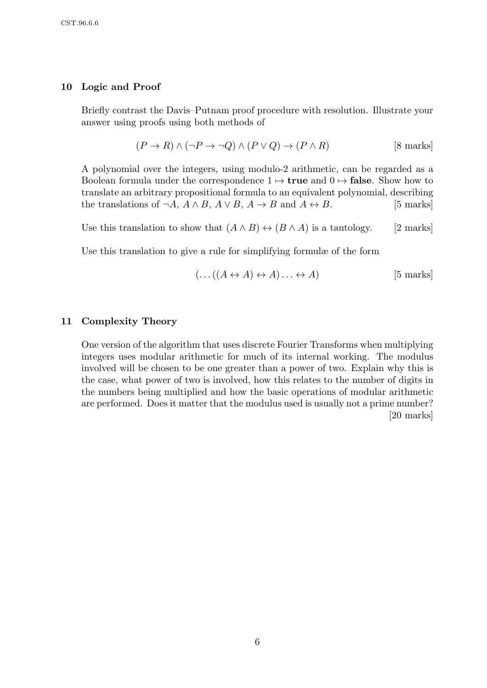### 10 Logic and Proof

Briefly contrast the Davis–Putnam proof procedure with resolution. Illustrate your answer using proofs using both methods of

$$
(P \to R) \land (\neg P \to \neg Q) \land (P \lor Q) \to (P \land R)
$$
 [8 marks]

A polynomial over the integers, using modulo-2 arithmetic, can be regarded as a Boolean formula under the correspondence  $1 \mapsto$  **true** and  $0 \mapsto$  **false**. Show how to translate an arbitrary propositional formula to an equivalent polynomial, describing the translations of  $\neg A$ ,  $A \land B$ ,  $A \lor B$ ,  $A \rightarrow B$  and  $A \leftrightarrow B$ . [5 marks]

Use this translation to show that  $(A \wedge B) \leftrightarrow (B \wedge A)$  is a tautology. [2 marks]

Use this translation to give a rule for simplifying formulæ of the form

$$
(\dots((A \leftrightarrow A) \leftrightarrow A)\dots \leftrightarrow A)
$$
 [5 marks]

### 11 Complexity Theory

One version of the algorithm that uses discrete Fourier Transforms when multiplying integers uses modular arithmetic for much of its internal working. The modulus involved will be chosen to be one greater than a power of two. Explain why this is the case, what power of two is involved, how this relates to the number of digits in the numbers being multiplied and how the basic operations of modular arithmetic are performed. Does it matter that the modulus used is usually not a prime number? [20 marks]